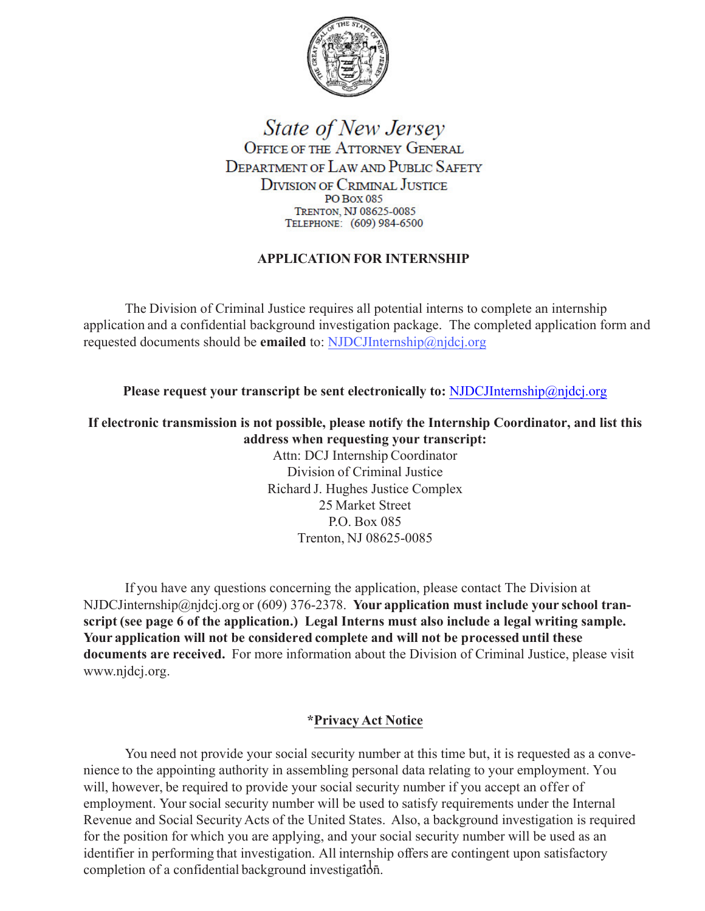

**State of New Jersey** OFFICE OF THE ATTORNEY GENERAL DEPARTMENT OF LAW AND PUBLIC SAFETY **DIVISION OF CRIMINAL JUSTICE PO Box 085** TRENTON, NJ 08625-0085 TELEPHONE: (609) 984-6500

### **APPLICATION FOR INTERNSHIP**

application and a confidential background investigation package. The completed application form and The Division of Criminal Justice requires all potential interns to complete an internship requested documents should be **emailed** to: [NJDCJInternship@njdcj.org](mailto:NJDCJInternship@njdcj.org)

**Please request your transcript be sent electronically to:** NJDCJInternship@njdcj.org

**If electronic transmission is not possible, please notify the Internship Coordinator, and list this address when requesting your transcript:**

> Attn: DCJ Internship Coordinator Division of Criminal Justice Richard J. Hughes Justice Complex 25 Market Street P.O. Box 085 Trenton, NJ 08625-0085

If you have any questions concerning the application, please contact The Division at NJDCJinternship@njdcj.org or (609) 376-2378. **Your application must include your school transcript (see page 6 of the application.) Legal Interns must also include a legal writing sample. Your application will not be considered complete and will not be processed until these documents are received.** For more information about the Division of Criminal Justice, please visit www.njdcj.org.

#### **\*Privacy Act Notice**

You need not provide your social security number at this time but, it is requested as a convenience to the appointing authority in assembling personal data relating to your employment. You will, however, be required to provide your social security number if you accept an offer of employment. Your social security number will be used to satisfy requirements under the Internal Revenue and Social Security Acts of the United States. Also, a background investigation is required for the position for which you are applying, and your social security number will be used as an identifier in performing that investigation. All internship offers are contingent upon satisfactory completion of a confidential background investigation.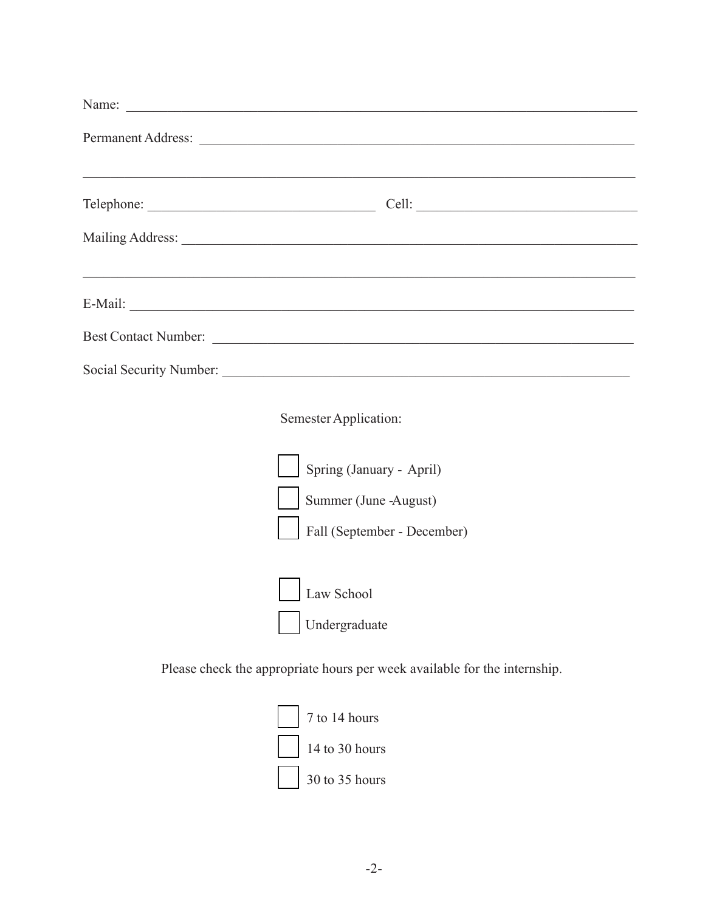| Name:                                                                              |  |
|------------------------------------------------------------------------------------|--|
|                                                                                    |  |
|                                                                                    |  |
|                                                                                    |  |
| <u>,这就是这个人的人,我们就是这个人的人,我们就是这个人的人,我们就是这个人的人,我们就是这个人的人,我们就是这个人的人,我们就是</u><br>E-Mail: |  |
| Best Contact Number:                                                               |  |
|                                                                                    |  |

Semester Application:



Please check the appropriate hours per week available for the internship.

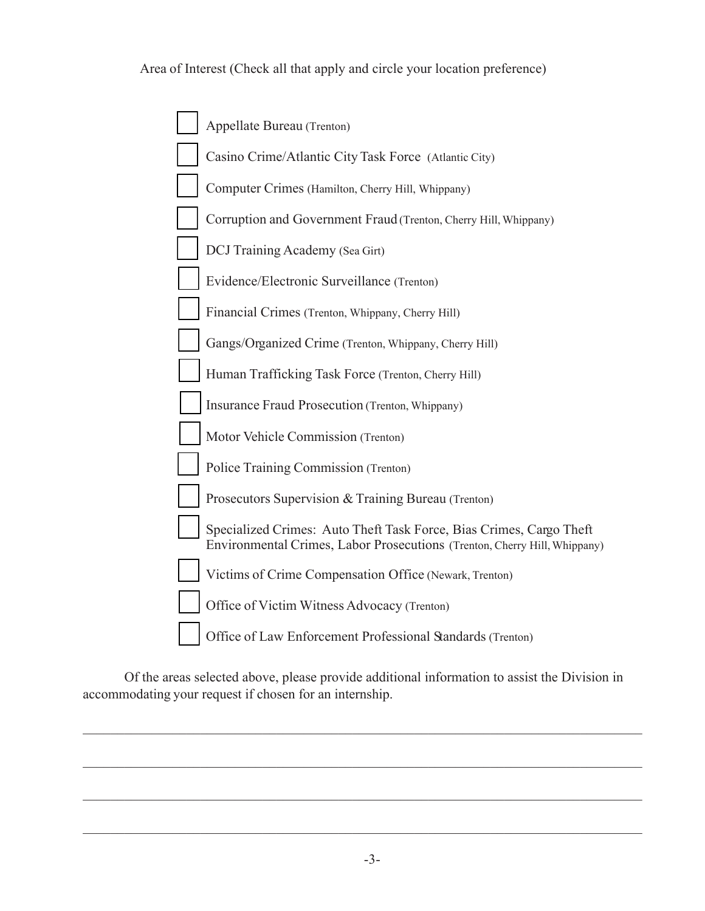Area of Interest (Check all that apply and circle your location preference)

| Appellate Bureau (Trenton)                                                                                                                       |
|--------------------------------------------------------------------------------------------------------------------------------------------------|
| Casino Crime/Atlantic City Task Force (Atlantic City)                                                                                            |
| Computer Crimes (Hamilton, Cherry Hill, Whippany)                                                                                                |
| Corruption and Government Fraud (Trenton, Cherry Hill, Whippany)                                                                                 |
| DCJ Training Academy (Sea Girt)                                                                                                                  |
| Evidence/Electronic Surveillance (Trenton)                                                                                                       |
| Financial Crimes (Trenton, Whippany, Cherry Hill)                                                                                                |
| Gangs/Organized Crime (Trenton, Whippany, Cherry Hill)                                                                                           |
| Human Trafficking Task Force (Trenton, Cherry Hill)                                                                                              |
| Insurance Fraud Prosecution (Trenton, Whippany)                                                                                                  |
| Motor Vehicle Commission (Trenton)                                                                                                               |
| Police Training Commission (Trenton)                                                                                                             |
| Prosecutors Supervision & Training Bureau (Trenton)                                                                                              |
| Specialized Crimes: Auto Theft Task Force, Bias Crimes, Cargo Theft<br>Environmental Crimes, Labor Prosecutions (Trenton, Cherry Hill, Whippany) |
| Victims of Crime Compensation Office (Newark, Trenton)                                                                                           |
| Office of Victim Witness Advocacy (Trenton)                                                                                                      |
| Office of Law Enforcement Professional Standards (Trenton)                                                                                       |

Of the areas selected above, please provide additional information to assist the Division in accommodating your request if chosen for an internship.

\_\_\_\_\_\_\_\_\_\_\_\_\_\_\_\_\_\_\_\_\_\_\_\_\_\_\_\_\_\_\_\_\_\_\_\_\_\_\_\_\_\_\_\_\_\_\_\_\_\_\_\_\_\_\_\_\_\_\_\_\_\_\_\_\_\_\_\_\_\_\_\_\_\_\_\_\_\_\_\_\_

\_\_\_\_\_\_\_\_\_\_\_\_\_\_\_\_\_\_\_\_\_\_\_\_\_\_\_\_\_\_\_\_\_\_\_\_\_\_\_\_\_\_\_\_\_\_\_\_\_\_\_\_\_\_\_\_\_\_\_\_\_\_\_\_\_\_\_\_\_\_\_\_\_\_\_\_\_\_\_\_\_

\_\_\_\_\_\_\_\_\_\_\_\_\_\_\_\_\_\_\_\_\_\_\_\_\_\_\_\_\_\_\_\_\_\_\_\_\_\_\_\_\_\_\_\_\_\_\_\_\_\_\_\_\_\_\_\_\_\_\_\_\_\_\_\_\_\_\_\_\_\_\_\_\_\_\_\_\_\_\_\_\_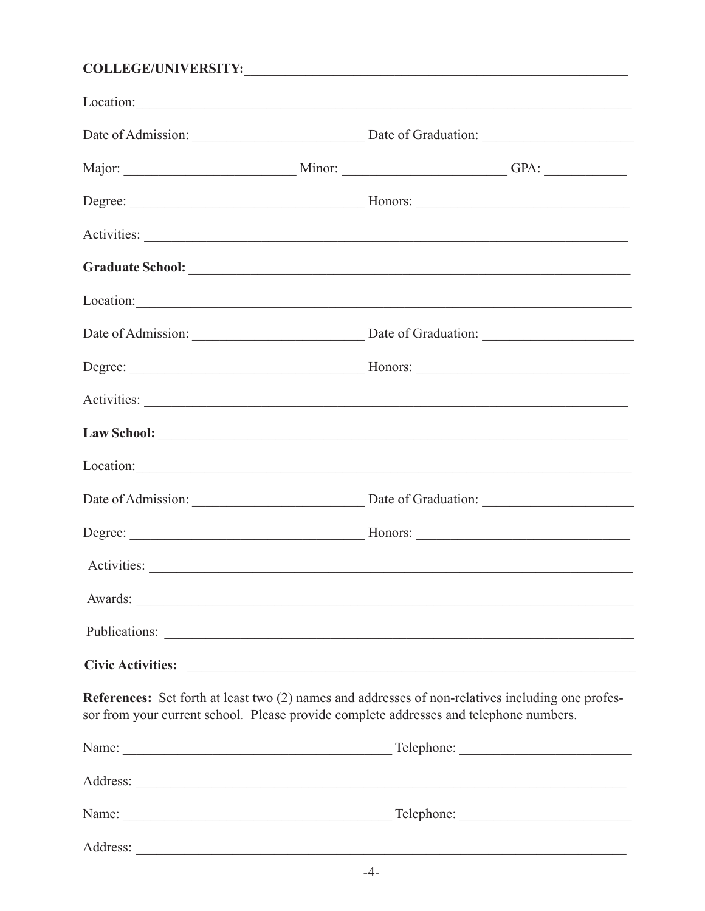# 

| Location: |                                                                                                                                                                                             |
|-----------|---------------------------------------------------------------------------------------------------------------------------------------------------------------------------------------------|
|           | Date of Admission: Date of Graduation: Date of Graduation:                                                                                                                                  |
|           |                                                                                                                                                                                             |
|           |                                                                                                                                                                                             |
|           |                                                                                                                                                                                             |
|           |                                                                                                                                                                                             |
|           | Location:                                                                                                                                                                                   |
|           |                                                                                                                                                                                             |
|           |                                                                                                                                                                                             |
|           |                                                                                                                                                                                             |
|           |                                                                                                                                                                                             |
|           |                                                                                                                                                                                             |
|           | Date of Admission: Date of Graduation: Date of Graduation:                                                                                                                                  |
|           |                                                                                                                                                                                             |
|           |                                                                                                                                                                                             |
|           |                                                                                                                                                                                             |
|           |                                                                                                                                                                                             |
|           |                                                                                                                                                                                             |
|           | References: Set forth at least two (2) names and addresses of non-relatives including one profes-<br>sor from your current school. Please provide complete addresses and telephone numbers. |
|           |                                                                                                                                                                                             |
|           |                                                                                                                                                                                             |
|           |                                                                                                                                                                                             |
|           |                                                                                                                                                                                             |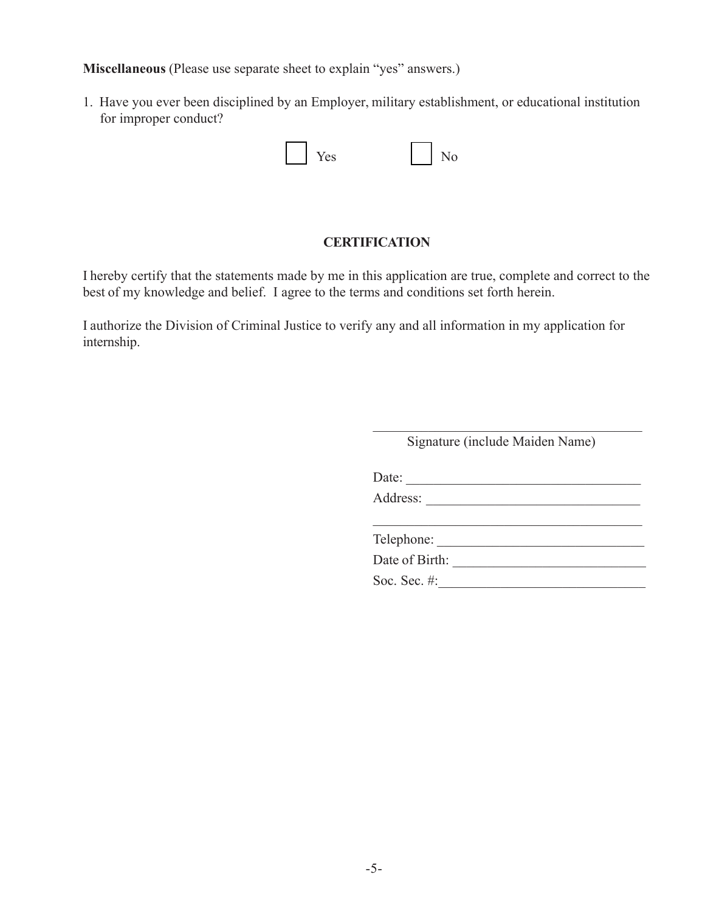**Miscellaneous** (Please use separate sheet to explain "yes" answers.)

1. Have you ever been disciplined by an Employer, military establishment, or educational institution for improper conduct?

| $'e$ s<br>- - | $\Omega$<br>- |
|---------------|---------------|
|               |               |

### **CERTIFICATION**

I hereby certify that the statements made by me in this application are true, complete and correct to the best of my knowledge and belief. I agree to the terms and conditions set forth herein.

I authorize the Division of Criminal Justice to verify any and all information in my application for internship.

|          | Signature (include Maiden Name) |
|----------|---------------------------------|
| Date:    |                                 |
| Address: |                                 |
|          |                                 |
|          | Telephone:                      |
|          | Date of Birth:                  |
|          | Soc. Sec. #:                    |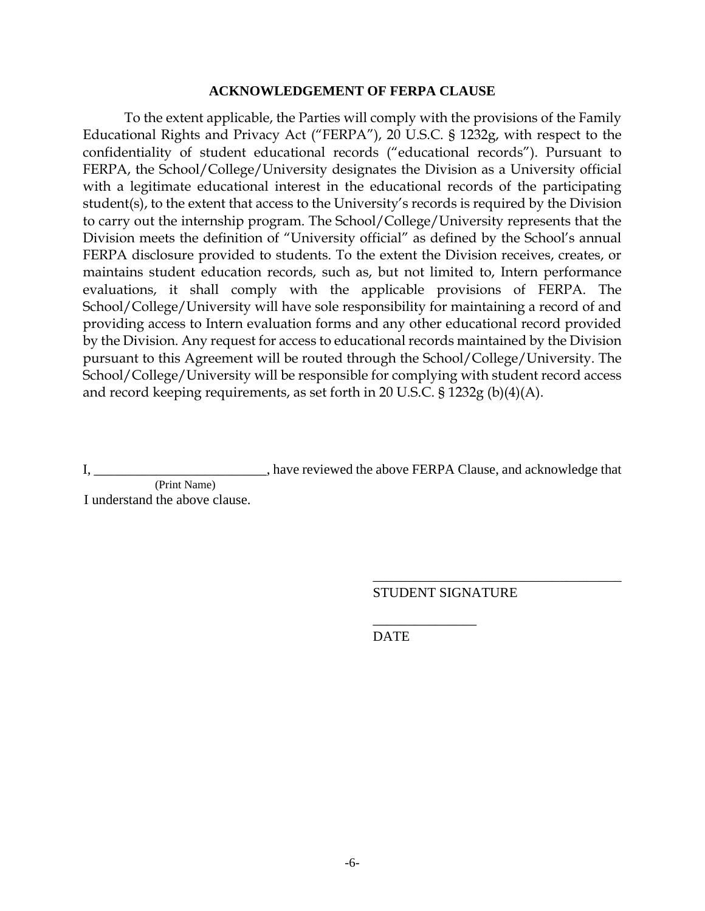#### **ACKNOWLEDGEMENT OF FERPA CLAUSE**

To the extent applicable, the Parties will comply with the provisions of the Family Educational Rights and Privacy Act ("FERPA"), 20 U.S.C. § 1232g, with respect to the confidentiality of student educational records ("educational records"). Pursuant to FERPA, the School/College/University designates the Division as a University official with a legitimate educational interest in the educational records of the participating student(s), to the extent that access to the University's records is required by the Division to carry out the internship program. The School/College/University represents that the Division meets the definition of "University official" as defined by the School's annual FERPA disclosure provided to students. To the extent the Division receives, creates, or maintains student education records, such as, but not limited to, Intern performance evaluations, it shall comply with the applicable provisions of FERPA. The School/College/University will have sole responsibility for maintaining a record of and providing access to Intern evaluation forms and any other educational record provided by the Division. Any request for access to educational records maintained by the Division pursuant to this Agreement will be routed through the School/College/University. The School/College/University will be responsible for complying with student record access and record keeping requirements, as set forth in 20 U.S.C. § 1232g (b)(4)(A).

I, \_\_\_\_\_\_\_\_\_\_\_\_\_\_\_\_\_\_\_\_\_\_\_\_\_\_\_, have reviewed the above FERPA Clause, and acknowledge that (Print Name)

I understand the above clause.

STUDENT SIGNATURE

\_\_\_\_\_\_\_\_\_\_\_\_\_\_\_

\_\_\_\_\_\_\_\_\_\_\_\_\_\_\_\_\_\_\_\_\_\_\_\_\_\_\_\_\_\_\_\_\_\_\_\_

DATE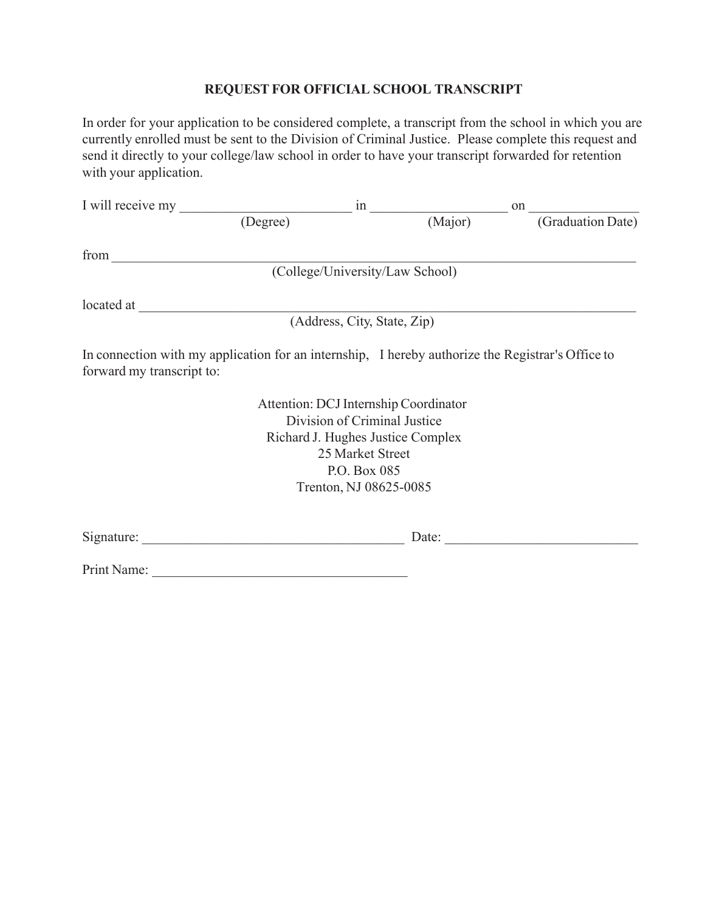#### **REQUESTFOR OFFICIAL SCHOOL TRANSCRIPT**

In order for your application to be considered complete, a transcript from the school in which you are currently enrolled must be sent to the Division of Criminal Justice. Please complete this request and send it directly to your college/law school in order to have your transcript forwarded for retention with your application.

|                           | I will receive my                                                                                 |                               | on                |
|---------------------------|---------------------------------------------------------------------------------------------------|-------------------------------|-------------------|
|                           | $\overline{(\text{Degree})}$                                                                      | $\frac{1}{\text{in}}$ (Major) | (Graduation Date) |
| from                      |                                                                                                   |                               |                   |
|                           | (College/University/Law School)                                                                   |                               |                   |
|                           |                                                                                                   |                               |                   |
|                           | (Address, City, State, Zip)                                                                       |                               |                   |
| forward my transcript to: | In connection with my application for an internship, I hereby authorize the Registrar's Office to |                               |                   |
|                           | Attention: DCJ Internship Coordinator                                                             |                               |                   |
|                           | Division of Criminal Justice                                                                      |                               |                   |
|                           | Richard J. Hughes Justice Complex                                                                 |                               |                   |
|                           | 25 Market Street                                                                                  |                               |                   |
|                           | P.O. Box 085                                                                                      |                               |                   |
|                           | Trenton, NJ 08625-0085                                                                            |                               |                   |
|                           |                                                                                                   | Date:                         |                   |
| Print Name:               |                                                                                                   |                               |                   |
|                           |                                                                                                   |                               |                   |